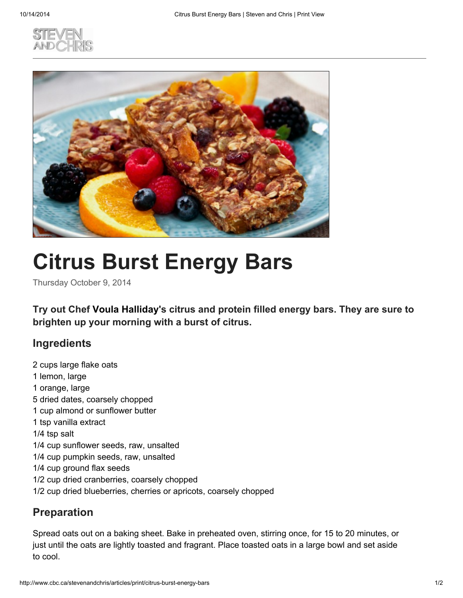



## Citrus Burst Energy Bars

Thursday October 9, 2014

Try out Chef Voula Halliday's citrus and protein filled energy bars. They are sure to brighten up your morning with a burst of citrus.

## **Ingredients**

2 cups large flake oats 1 lemon, large 1 orange, large 5 dried dates, coarsely chopped 1 cup almond or sunflower butter 1 tsp vanilla extract 1/4 tsp salt 1/4 cup sunflower seeds, raw, unsalted 1/4 cup pumpkin seeds, raw, unsalted 1/4 cup ground flax seeds 1/2 cup dried cranberries, coarsely chopped 1/2 cup dried blueberries, cherries or apricots, coarsely chopped

## Preparation

Spread oats out on a baking sheet. Bake in preheated oven, stirring once, for 15 to 20 minutes, or just until the oats are lightly toasted and fragrant. Place toasted oats in a large bowl and set aside to cool.